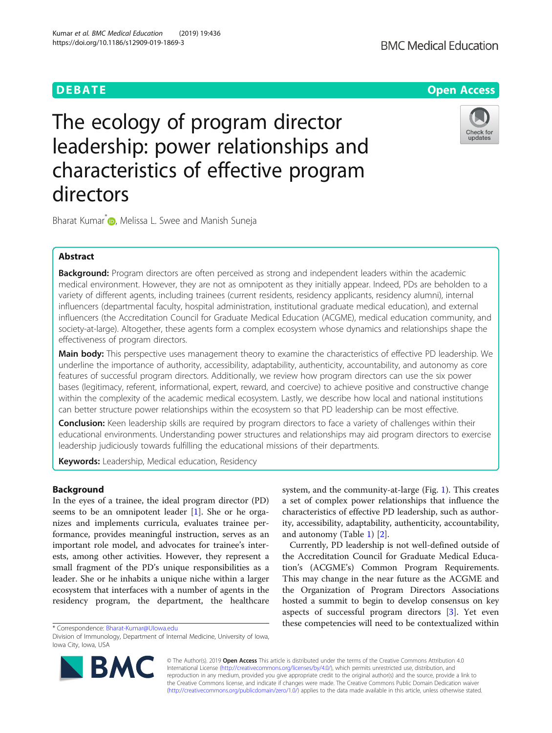# The ecology of program director leadership: power relationships and characteristics of effective program directors

Bharat Kumar<sup>\*</sup> <sub>D</sub>[,](http://orcid.org/0000-0002-4245-521X) Melissa L. Swee and Manish Suneja

# Abstract

Background: Program directors are often perceived as strong and independent leaders within the academic medical environment. However, they are not as omnipotent as they initially appear. Indeed, PDs are beholden to a variety of different agents, including trainees (current residents, residency applicants, residency alumni), internal influencers (departmental faculty, hospital administration, institutional graduate medical education), and external influencers (the Accreditation Council for Graduate Medical Education (ACGME), medical education community, and society-at-large). Altogether, these agents form a complex ecosystem whose dynamics and relationships shape the effectiveness of program directors.

Main body: This perspective uses management theory to examine the characteristics of effective PD leadership. We underline the importance of authority, accessibility, adaptability, authenticity, accountability, and autonomy as core features of successful program directors. Additionally, we review how program directors can use the six power bases (legitimacy, referent, informational, expert, reward, and coercive) to achieve positive and constructive change within the complexity of the academic medical ecosystem. Lastly, we describe how local and national institutions can better structure power relationships within the ecosystem so that PD leadership can be most effective.

Conclusion: Keen leadership skills are required by program directors to face a variety of challenges within their educational environments. Understanding power structures and relationships may aid program directors to exercise leadership judiciously towards fulfilling the educational missions of their departments.

Keywords: Leadership, Medical education, Residency

# Background

In the eyes of a trainee, the ideal program director (PD) seems to be an omnipotent leader [\[1](#page-5-0)]. She or he organizes and implements curricula, evaluates trainee performance, provides meaningful instruction, serves as an important role model, and advocates for trainee's interests, among other activities. However, they represent a small fragment of the PD's unique responsibilities as a leader. She or he inhabits a unique niche within a larger ecosystem that interfaces with a number of agents in the residency program, the department, the healthcare

© The Author(s). 2019 Open Access This article is distributed under the terms of the Creative Commons Attribution 4.0 International License [\(http://creativecommons.org/licenses/by/4.0/](http://creativecommons.org/licenses/by/4.0/)), which permits unrestricted use, distribution, and reproduction in any medium, provided you give appropriate credit to the original author(s) and the source, provide a link to the Creative Commons license, and indicate if changes were made. The Creative Commons Public Domain Dedication waiver [\(http://creativecommons.org/publicdomain/zero/1.0/](http://creativecommons.org/publicdomain/zero/1.0/)) applies to the data made available in this article, unless otherwise stated.

and autonomy (Table [1\)](#page-2-0) [\[2\]](#page-5-0).

system, and the community-at-large (Fig. [1\)](#page-2-0). This creates a set of complex power relationships that influence the characteristics of effective PD leadership, such as authority, accessibility, adaptability, authenticity, accountability,

Currently, PD leadership is not well-defined outside of the Accreditation Council for Graduate Medical Education's (ACGME's) Common Program Requirements. This may change in the near future as the ACGME and the Organization of Program Directors Associations hosted a summit to begin to develop consensus on key aspects of successful program directors [[3\]](#page-5-0). Yet even these competencies will need to be contextualized within

\* Correspondence: [Bharat-Kumar@UIowa.edu](mailto:Bharat-Kumar@UIowa.edu)





**DEBATE CONSERVATION DEBATE** 

Division of Immunology, Department of Internal Medicine, University of Iowa, Iowa City, Iowa, USA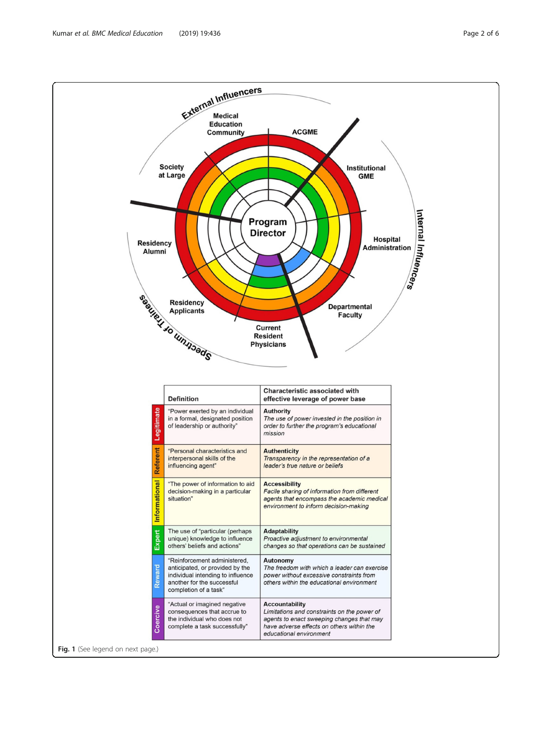Kumar et al. BMC Medical Education (2019) 19:436 Page 2 of 6

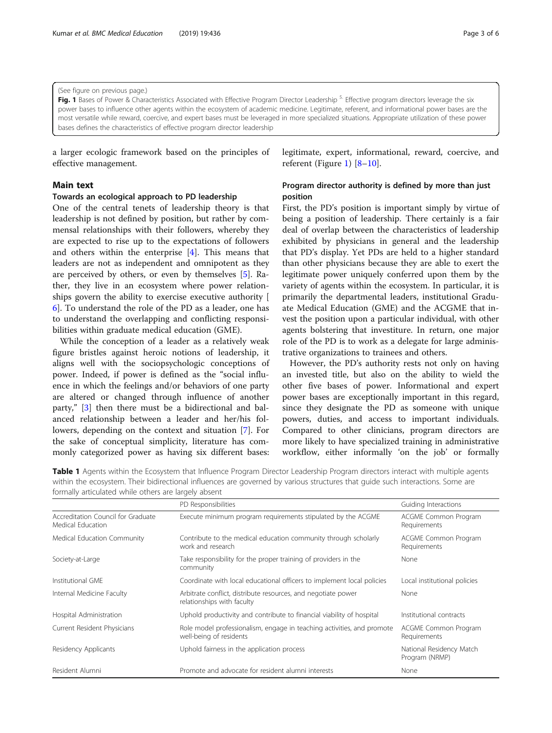<span id="page-2-0"></span>(See figure on previous page.)

Fig. 1 Bases of Power & Characteristics Associated with Effective Program Director Leadership<sup>5.</sup> Effective program directors leverage the six power bases to influence other agents within the ecosystem of academic medicine. Legitimate, referent, and informational power bases are the most versatile while reward, coercive, and expert bases must be leveraged in more specialized situations. Appropriate utilization of these power bases defines the characteristics of effective program director leadership

a larger ecologic framework based on the principles of effective management.

# Main text

## Towards an ecological approach to PD leadership

One of the central tenets of leadership theory is that leadership is not defined by position, but rather by commensal relationships with their followers, whereby they are expected to rise up to the expectations of followers and others within the enterprise [[4\]](#page-5-0). This means that leaders are not as independent and omnipotent as they are perceived by others, or even by themselves [\[5](#page-5-0)]. Rather, they live in an ecosystem where power relationships govern the ability to exercise executive authority [ [6\]](#page-5-0). To understand the role of the PD as a leader, one has to understand the overlapping and conflicting responsibilities within graduate medical education (GME).

While the conception of a leader as a relatively weak figure bristles against heroic notions of leadership, it aligns well with the sociopsychologic conceptions of power. Indeed, if power is defined as the "social influence in which the feelings and/or behaviors of one party are altered or changed through influence of another party," [[3\]](#page-5-0) then there must be a bidirectional and balanced relationship between a leader and her/his followers, depending on the context and situation [[7](#page-5-0)]. For the sake of conceptual simplicity, literature has commonly categorized power as having six different bases: legitimate, expert, informational, reward, coercive, and referent (Figure 1) [[8](#page-5-0)–[10](#page-5-0)].

# Program director authority is defined by more than just position

First, the PD's position is important simply by virtue of being a position of leadership. There certainly is a fair deal of overlap between the characteristics of leadership exhibited by physicians in general and the leadership that PD's display. Yet PDs are held to a higher standard than other physicians because they are able to exert the legitimate power uniquely conferred upon them by the variety of agents within the ecosystem. In particular, it is primarily the departmental leaders, institutional Graduate Medical Education (GME) and the ACGME that invest the position upon a particular individual, with other agents bolstering that investiture. In return, one major role of the PD is to work as a delegate for large administrative organizations to trainees and others.

However, the PD's authority rests not only on having an invested title, but also on the ability to wield the other five bases of power. Informational and expert power bases are exceptionally important in this regard, since they designate the PD as someone with unique powers, duties, and access to important individuals. Compared to other clinicians, program directors are more likely to have specialized training in administrative workflow, either informally 'on the job' or formally

Table 1 Agents within the Ecosystem that Influence Program Director Leadership Program directors interact with multiple agents within the ecosystem. Their bidirectional influences are governed by various structures that guide such interactions. Some are formally articulated while others are largely absent

|                                                         | PD Responsibilities                                                                               | Guiding Interactions                       |
|---------------------------------------------------------|---------------------------------------------------------------------------------------------------|--------------------------------------------|
| Accreditation Council for Graduate<br>Medical Education | Execute minimum program requirements stipulated by the ACGME                                      | ACGME Common Program<br>Requirements       |
| Medical Education Community                             | Contribute to the medical education community through scholarly<br>work and research              | ACGME Common Program<br>Requirements       |
| Society-at-Large                                        | Take responsibility for the proper training of providers in the<br>community                      | None                                       |
| Institutional GME                                       | Coordinate with local educational officers to implement local policies                            | Local institutional policies               |
| Internal Medicine Faculty                               | Arbitrate conflict, distribute resources, and negotiate power<br>relationships with faculty       | None                                       |
| Hospital Administration                                 | Uphold productivity and contribute to financial viability of hospital                             | Institutional contracts                    |
| Current Resident Physicians                             | Role model professionalism, engage in teaching activities, and promote<br>well-being of residents | ACGME Common Program<br>Requirements       |
| Residency Applicants                                    | Uphold fairness in the application process                                                        | National Residency Match<br>Program (NRMP) |
| Resident Alumni                                         | Promote and advocate for resident alumni interests                                                | None                                       |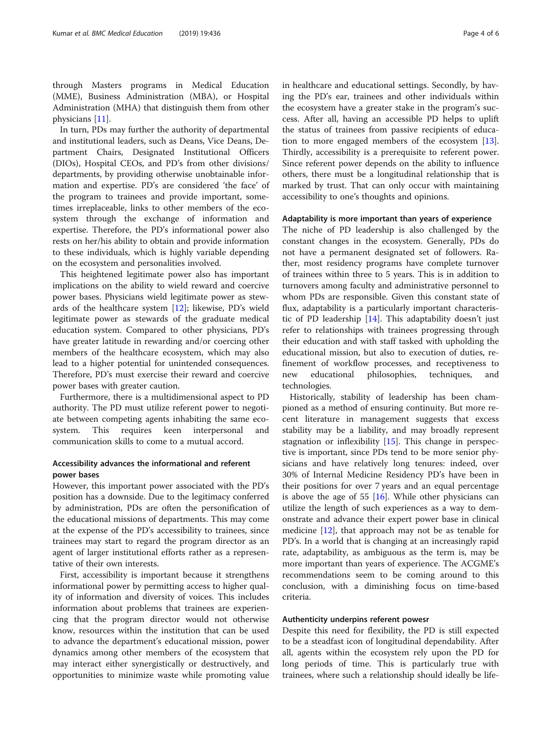through Masters programs in Medical Education (MME), Business Administration (MBA), or Hospital Administration (MHA) that distinguish them from other physicians [[11](#page-5-0)].

In turn, PDs may further the authority of departmental and institutional leaders, such as Deans, Vice Deans, Department Chairs, Designated Institutional Officers (DIOs), Hospital CEOs, and PD's from other divisions/ departments, by providing otherwise unobtainable information and expertise. PD's are considered 'the face' of the program to trainees and provide important, sometimes irreplaceable, links to other members of the ecosystem through the exchange of information and expertise. Therefore, the PD's informational power also rests on her/his ability to obtain and provide information to these individuals, which is highly variable depending on the ecosystem and personalities involved.

This heightened legitimate power also has important implications on the ability to wield reward and coercive power bases. Physicians wield legitimate power as stewards of the healthcare system [[12](#page-5-0)]; likewise, PD's wield legitimate power as stewards of the graduate medical education system. Compared to other physicians, PD's have greater latitude in rewarding and/or coercing other members of the healthcare ecosystem, which may also lead to a higher potential for unintended consequences. Therefore, PD's must exercise their reward and coercive power bases with greater caution.

Furthermore, there is a multidimensional aspect to PD authority. The PD must utilize referent power to negotiate between competing agents inhabiting the same ecosystem. This requires keen interpersonal and communication skills to come to a mutual accord.

# Accessibility advances the informational and referent power bases

However, this important power associated with the PD's position has a downside. Due to the legitimacy conferred by administration, PDs are often the personification of the educational missions of departments. This may come at the expense of the PD's accessibility to trainees, since trainees may start to regard the program director as an agent of larger institutional efforts rather as a representative of their own interests.

First, accessibility is important because it strengthens informational power by permitting access to higher quality of information and diversity of voices. This includes information about problems that trainees are experiencing that the program director would not otherwise know, resources within the institution that can be used to advance the department's educational mission, power dynamics among other members of the ecosystem that may interact either synergistically or destructively, and opportunities to minimize waste while promoting value

in healthcare and educational settings. Secondly, by having the PD's ear, trainees and other individuals within the ecosystem have a greater stake in the program's success. After all, having an accessible PD helps to uplift the status of trainees from passive recipients of education to more engaged members of the ecosystem [\[13](#page-5-0)]. Thirdly, accessibility is a prerequisite to referent power. Since referent power depends on the ability to influence others, there must be a longitudinal relationship that is marked by trust. That can only occur with maintaining accessibility to one's thoughts and opinions.

#### Adaptability is more important than years of experience

The niche of PD leadership is also challenged by the constant changes in the ecosystem. Generally, PDs do not have a permanent designated set of followers. Rather, most residency programs have complete turnover of trainees within three to 5 years. This is in addition to turnovers among faculty and administrative personnel to whom PDs are responsible. Given this constant state of flux, adaptability is a particularly important characteristic of PD leadership  $[14]$  $[14]$ . This adaptability doesn't just refer to relationships with trainees progressing through their education and with staff tasked with upholding the educational mission, but also to execution of duties, refinement of workflow processes, and receptiveness to new educational philosophies, techniques, and technologies.

Historically, stability of leadership has been championed as a method of ensuring continuity. But more recent literature in management suggests that excess stability may be a liability, and may broadly represent stagnation or inflexibility [\[15\]](#page-5-0). This change in perspective is important, since PDs tend to be more senior physicians and have relatively long tenures: indeed, over 30% of Internal Medicine Residency PD's have been in their positions for over 7 years and an equal percentage is above the age of 55 [\[16](#page-5-0)]. While other physicians can utilize the length of such experiences as a way to demonstrate and advance their expert power base in clinical medicine [[12\]](#page-5-0), that approach may not be as tenable for PD's. In a world that is changing at an increasingly rapid rate, adaptability, as ambiguous as the term is, may be more important than years of experience. The ACGME's recommendations seem to be coming around to this conclusion, with a diminishing focus on time-based criteria.

# Authenticity underpins referent powesr

Despite this need for flexibility, the PD is still expected to be a steadfast icon of longitudinal dependability. After all, agents within the ecosystem rely upon the PD for long periods of time. This is particularly true with trainees, where such a relationship should ideally be life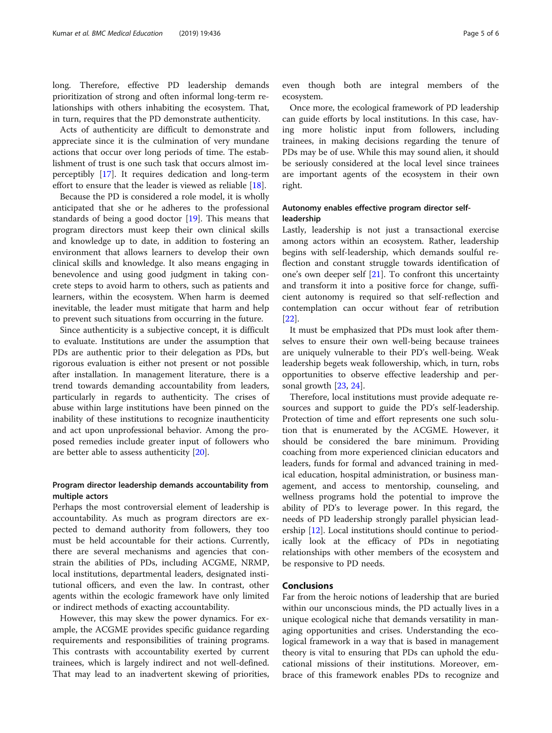long. Therefore, effective PD leadership demands prioritization of strong and often informal long-term relationships with others inhabiting the ecosystem. That, in turn, requires that the PD demonstrate authenticity.

Acts of authenticity are difficult to demonstrate and appreciate since it is the culmination of very mundane actions that occur over long periods of time. The establishment of trust is one such task that occurs almost imperceptibly [\[17](#page-5-0)]. It requires dedication and long-term effort to ensure that the leader is viewed as reliable [\[18](#page-5-0)].

Because the PD is considered a role model, it is wholly anticipated that she or he adheres to the professional standards of being a good doctor  $[19]$  $[19]$ . This means that program directors must keep their own clinical skills and knowledge up to date, in addition to fostering an environment that allows learners to develop their own clinical skills and knowledge. It also means engaging in benevolence and using good judgment in taking concrete steps to avoid harm to others, such as patients and learners, within the ecosystem. When harm is deemed inevitable, the leader must mitigate that harm and help to prevent such situations from occurring in the future.

Since authenticity is a subjective concept, it is difficult to evaluate. Institutions are under the assumption that PDs are authentic prior to their delegation as PDs, but rigorous evaluation is either not present or not possible after installation. In management literature, there is a trend towards demanding accountability from leaders, particularly in regards to authenticity. The crises of abuse within large institutions have been pinned on the inability of these institutions to recognize inauthenticity and act upon unprofessional behavior. Among the proposed remedies include greater input of followers who are better able to assess authenticity [[20\]](#page-5-0).

# Program director leadership demands accountability from multiple actors

Perhaps the most controversial element of leadership is accountability. As much as program directors are expected to demand authority from followers, they too must be held accountable for their actions. Currently, there are several mechanisms and agencies that constrain the abilities of PDs, including ACGME, NRMP, local institutions, departmental leaders, designated institutional officers, and even the law. In contrast, other agents within the ecologic framework have only limited or indirect methods of exacting accountability.

However, this may skew the power dynamics. For example, the ACGME provides specific guidance regarding requirements and responsibilities of training programs. This contrasts with accountability exerted by current trainees, which is largely indirect and not well-defined. That may lead to an inadvertent skewing of priorities, even though both are integral members of the ecosystem.

Once more, the ecological framework of PD leadership can guide efforts by local institutions. In this case, having more holistic input from followers, including trainees, in making decisions regarding the tenure of PDs may be of use. While this may sound alien, it should be seriously considered at the local level since trainees are important agents of the ecosystem in their own right.

# Autonomy enables effective program director selfleadership

Lastly, leadership is not just a transactional exercise among actors within an ecosystem. Rather, leadership begins with self-leadership, which demands soulful reflection and constant struggle towards identification of one's own deeper self [\[21\]](#page-5-0). To confront this uncertainty and transform it into a positive force for change, sufficient autonomy is required so that self-reflection and contemplation can occur without fear of retribution [[22\]](#page-5-0).

It must be emphasized that PDs must look after themselves to ensure their own well-being because trainees are uniquely vulnerable to their PD's well-being. Weak leadership begets weak followership, which, in turn, robs opportunities to observe effective leadership and personal growth [[23,](#page-5-0) [24\]](#page-5-0).

Therefore, local institutions must provide adequate resources and support to guide the PD's self-leadership. Protection of time and effort represents one such solution that is enumerated by the ACGME. However, it should be considered the bare minimum. Providing coaching from more experienced clinician educators and leaders, funds for formal and advanced training in medical education, hospital administration, or business management, and access to mentorship, counseling, and wellness programs hold the potential to improve the ability of PD's to leverage power. In this regard, the needs of PD leadership strongly parallel physician leadership [[12\]](#page-5-0). Local institutions should continue to periodically look at the efficacy of PDs in negotiating relationships with other members of the ecosystem and be responsive to PD needs.

# Conclusions

Far from the heroic notions of leadership that are buried within our unconscious minds, the PD actually lives in a unique ecological niche that demands versatility in managing opportunities and crises. Understanding the ecological framework in a way that is based in management theory is vital to ensuring that PDs can uphold the educational missions of their institutions. Moreover, embrace of this framework enables PDs to recognize and